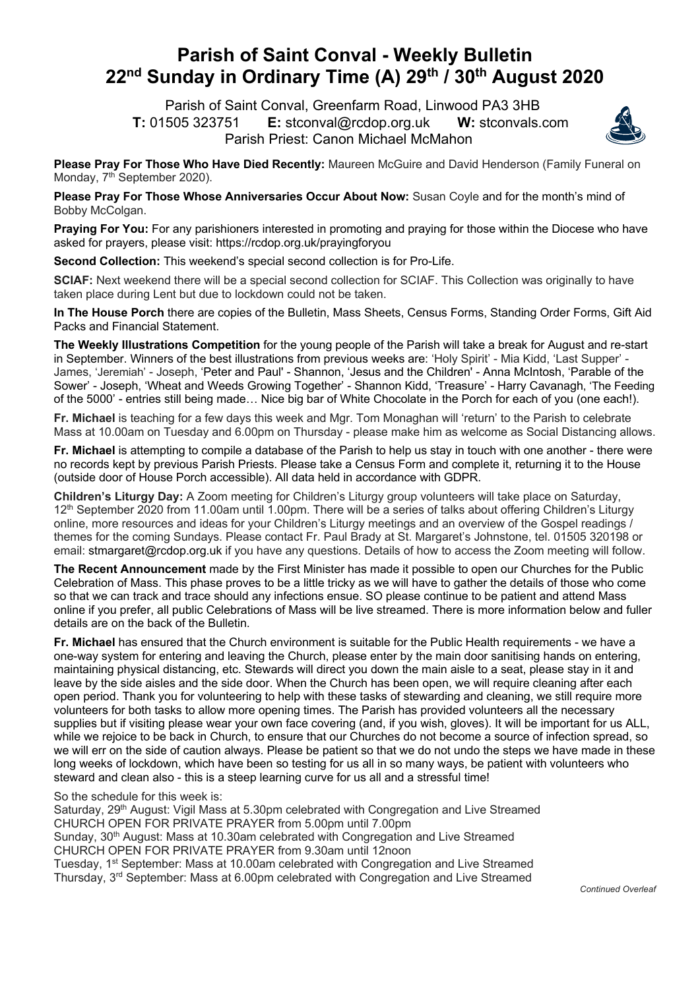## **Parish of Saint Conval - Weekly Bulletin 22nd Sunday in Ordinary Time (A) 29th / 30th August 2020**

 Parish of Saint Conval, Greenfarm Road, Linwood PA3 3HB **T:** 01505 323751 **E:** stconval@rcdop.org.uk **W:** stconvals.com Parish Priest: Canon Michael McMahon



**Please Pray For Those Who Have Died Recently:** Maureen McGuire and David Henderson (Family Funeral on Monday, 7<sup>th</sup> September 2020).

**Please Pray For Those Whose Anniversaries Occur About Now:** Susan Coyle and for the month's mind of Bobby McColgan.

**Praying For You:** For any parishioners interested in promoting and praying for those within the Diocese who have asked for prayers, please visit: https://rcdop.org.uk/prayingforyou

**Second Collection:** This weekend's special second collection is for Pro-Life.

**SCIAF:** Next weekend there will be a special second collection for SCIAF. This Collection was originally to have taken place during Lent but due to lockdown could not be taken.

**In The House Porch** there are copies of the Bulletin, Mass Sheets, Census Forms, Standing Order Forms, Gift Aid Packs and Financial Statement.

**The Weekly Illustrations Competition** for the young people of the Parish will take a break for August and re-start in September. Winners of the best illustrations from previous weeks are: 'Holy Spirit' - Mia Kidd, 'Last Supper' - James, 'Jeremiah' - Joseph, 'Peter and Paul' - Shannon, 'Jesus and the Children' - Anna McIntosh, 'Parable of the Sower' - Joseph, 'Wheat and Weeds Growing Together' - Shannon Kidd, 'Treasure' - Harry Cavanagh, 'The Feeding of the 5000' - entries still being made… Nice big bar of White Chocolate in the Porch for each of you (one each!).

**Fr. Michael** is teaching for a few days this week and Mgr. Tom Monaghan will 'return' to the Parish to celebrate Mass at 10.00am on Tuesday and 6.00pm on Thursday - please make him as welcome as Social Distancing allows.

**Fr. Michael** is attempting to compile a database of the Parish to help us stay in touch with one another - there were no records kept by previous Parish Priests. Please take a Census Form and complete it, returning it to the House (outside door of House Porch accessible). All data held in accordance with GDPR.

**Children's Liturgy Day:** A Zoom meeting for Children's Liturgy group volunteers will take place on Saturday, 12<sup>th</sup> September 2020 from 11.00am until 1.00pm. There will be a series of talks about offering Children's Liturgy online, more resources and ideas for your Children's Liturgy meetings and an overview of the Gospel readings / themes for the coming Sundays. Please contact Fr. Paul Brady at St. Margaret's Johnstone, tel. 01505 320198 or email: stmargaret@rcdop.org.uk if you have any questions. Details of how to access the Zoom meeting will follow.

**The Recent Announcement** made by the First Minister has made it possible to open our Churches for the Public Celebration of Mass. This phase proves to be a little tricky as we will have to gather the details of those who come so that we can track and trace should any infections ensue. SO please continue to be patient and attend Mass online if you prefer, all public Celebrations of Mass will be live streamed. There is more information below and fuller details are on the back of the Bulletin.

**Fr. Michael** has ensured that the Church environment is suitable for the Public Health requirements - we have a one-way system for entering and leaving the Church, please enter by the main door sanitising hands on entering, maintaining physical distancing, etc. Stewards will direct you down the main aisle to a seat, please stay in it and leave by the side aisles and the side door. When the Church has been open, we will require cleaning after each open period. Thank you for volunteering to help with these tasks of stewarding and cleaning, we still require more volunteers for both tasks to allow more opening times. The Parish has provided volunteers all the necessary supplies but if visiting please wear your own face covering (and, if you wish, gloves). It will be important for us ALL, while we rejoice to be back in Church, to ensure that our Churches do not become a source of infection spread, so we will err on the side of caution always. Please be patient so that we do not undo the steps we have made in these long weeks of lockdown, which have been so testing for us all in so many ways, be patient with volunteers who steward and clean also - this is a steep learning curve for us all and a stressful time!

So the schedule for this week is:

Saturday, 29<sup>th</sup> August: Vigil Mass at 5.30pm celebrated with Congregation and Live Streamed CHURCH OPEN FOR PRIVATE PRAYER from 5.00pm until 7.00pm Sunday, 30th August: Mass at 10.30am celebrated with Congregation and Live Streamed CHURCH OPEN FOR PRIVATE PRAYER from 9.30am until 12noon Tuesday, 1<sup>st</sup> September: Mass at 10.00am celebrated with Congregation and Live Streamed Thursday, 3rd September: Mass at 6.00pm celebrated with Congregation and Live Streamed

*Continued Overleaf*